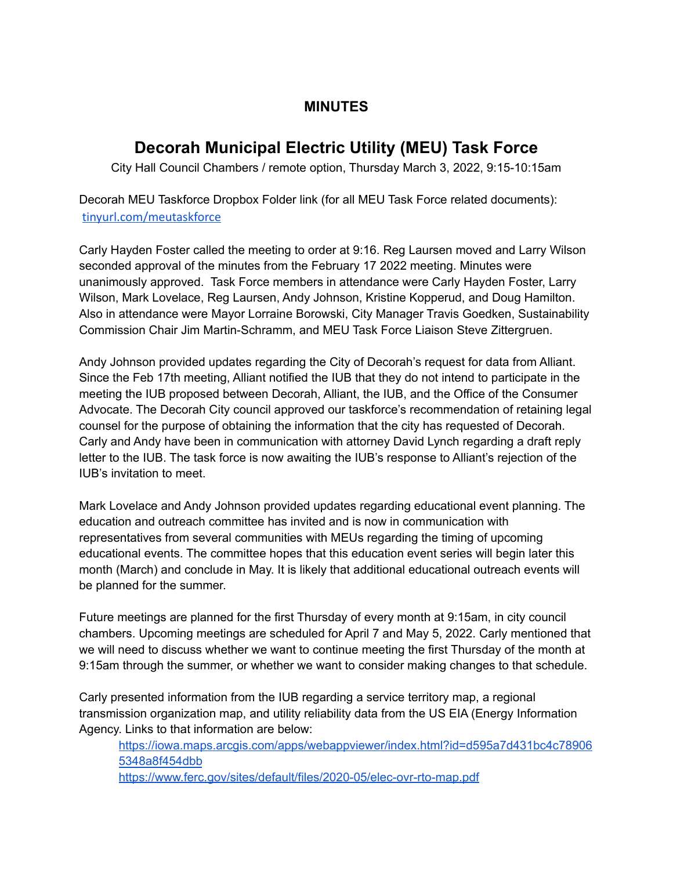## **MINUTES**

## **Decorah Municipal Electric Utility (MEU) Task Force**

City Hall Council Chambers / remote option, Thursday March 3, 2022, 9:15-10:15am

Decorah MEU Taskforce Dropbox Folder link (for all MEU Task Force related documents): [tinyurl.com/meutaskforce](http://tinyurl.com/meutaskforce)

Carly Hayden Foster called the meeting to order at 9:16. Reg Laursen moved and Larry Wilson seconded approval of the minutes from the February 17 2022 meeting. Minutes were unanimously approved. Task Force members in attendance were Carly Hayden Foster, Larry Wilson, Mark Lovelace, Reg Laursen, Andy Johnson, Kristine Kopperud, and Doug Hamilton. Also in attendance were Mayor Lorraine Borowski, City Manager Travis Goedken, Sustainability Commission Chair Jim Martin-Schramm, and MEU Task Force Liaison Steve Zittergruen.

Andy Johnson provided updates regarding the City of Decorah's request for data from Alliant. Since the Feb 17th meeting, Alliant notified the IUB that they do not intend to participate in the meeting the IUB proposed between Decorah, Alliant, the IUB, and the Office of the Consumer Advocate. The Decorah City council approved our taskforce's recommendation of retaining legal counsel for the purpose of obtaining the information that the city has requested of Decorah. Carly and Andy have been in communication with attorney David Lynch regarding a draft reply letter to the IUB. The task force is now awaiting the IUB's response to Alliant's rejection of the IUB's invitation to meet.

Mark Lovelace and Andy Johnson provided updates regarding educational event planning. The education and outreach committee has invited and is now in communication with representatives from several communities with MEUs regarding the timing of upcoming educational events. The committee hopes that this education event series will begin later this month (March) and conclude in May. It is likely that additional educational outreach events will be planned for the summer.

Future meetings are planned for the first Thursday of every month at 9:15am, in city council chambers. Upcoming meetings are scheduled for April 7 and May 5, 2022. Carly mentioned that we will need to discuss whether we want to continue meeting the first Thursday of the month at 9:15am through the summer, or whether we want to consider making changes to that schedule.

Carly presented information from the IUB regarding a service territory map, a regional transmission organization map, and utility reliability data from the US EIA (Energy Information Agency. Links to that information are below:

[https://iowa.maps.arcgis.com/apps/webappviewer/index.html?id=d595a7d431bc4c78906](https://iowa.maps.arcgis.com/apps/webappviewer/index.html?id=d595a7d431bc4c789065348a8f454dbb) [5348a8f454dbb](https://iowa.maps.arcgis.com/apps/webappviewer/index.html?id=d595a7d431bc4c789065348a8f454dbb) <https://www.ferc.gov/sites/default/files/2020-05/elec-ovr-rto-map.pdf>